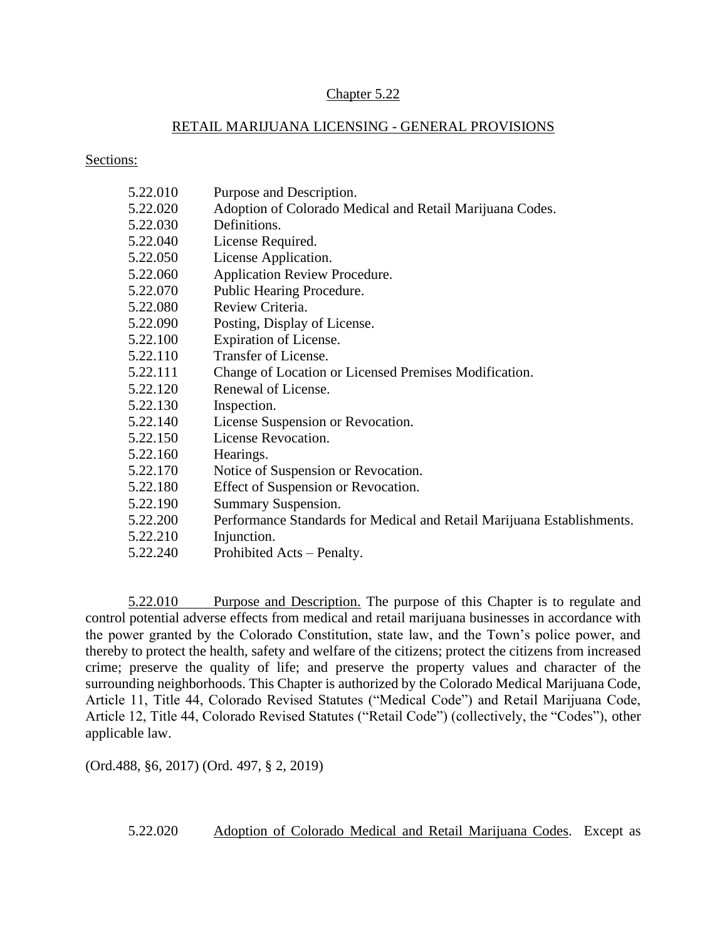#### Chapter 5.22

#### RETAIL MARIJUANA LICENSING - GENERAL PROVISIONS

Sections:

| 5.22.010 | Purpose and Description.                                               |
|----------|------------------------------------------------------------------------|
| 5.22.020 | Adoption of Colorado Medical and Retail Marijuana Codes.               |
| 5.22.030 | Definitions.                                                           |
| 5.22.040 | License Required.                                                      |
| 5.22.050 | License Application.                                                   |
| 5.22.060 | Application Review Procedure.                                          |
| 5.22.070 | Public Hearing Procedure.                                              |
| 5.22.080 | Review Criteria.                                                       |
| 5.22.090 | Posting, Display of License.                                           |
| 5.22.100 | Expiration of License.                                                 |
| 5.22.110 | Transfer of License.                                                   |
| 5.22.111 | Change of Location or Licensed Premises Modification.                  |
| 5.22.120 | Renewal of License.                                                    |
| 5.22.130 | Inspection.                                                            |
| 5.22.140 | License Suspension or Revocation.                                      |
| 5.22.150 | License Revocation.                                                    |
| 5.22.160 | Hearings.                                                              |
| 5.22.170 | Notice of Suspension or Revocation.                                    |
| 5.22.180 | Effect of Suspension or Revocation.                                    |
| 5.22.190 | Summary Suspension.                                                    |
| 5.22.200 | Performance Standards for Medical and Retail Marijuana Establishments. |
| 5.22.210 | Injunction.                                                            |
| 5.22.240 | Prohibited Acts – Penalty.                                             |

5.22.010 Purpose and Description. The purpose of this Chapter is to regulate and control potential adverse effects from medical and retail marijuana businesses in accordance with the power granted by the Colorado Constitution, state law, and the Town's police power, and thereby to protect the health, safety and welfare of the citizens; protect the citizens from increased crime; preserve the quality of life; and preserve the property values and character of the surrounding neighborhoods. This Chapter is authorized by the Colorado Medical Marijuana Code, Article 11, Title 44, Colorado Revised Statutes ("Medical Code") and Retail Marijuana Code, Article 12, Title 44, Colorado Revised Statutes ("Retail Code") (collectively, the "Codes"), other applicable law.

(Ord.488, §6, 2017) (Ord. 497, § 2, 2019)

5.22.020 Adoption of Colorado Medical and Retail Marijuana Codes. Except as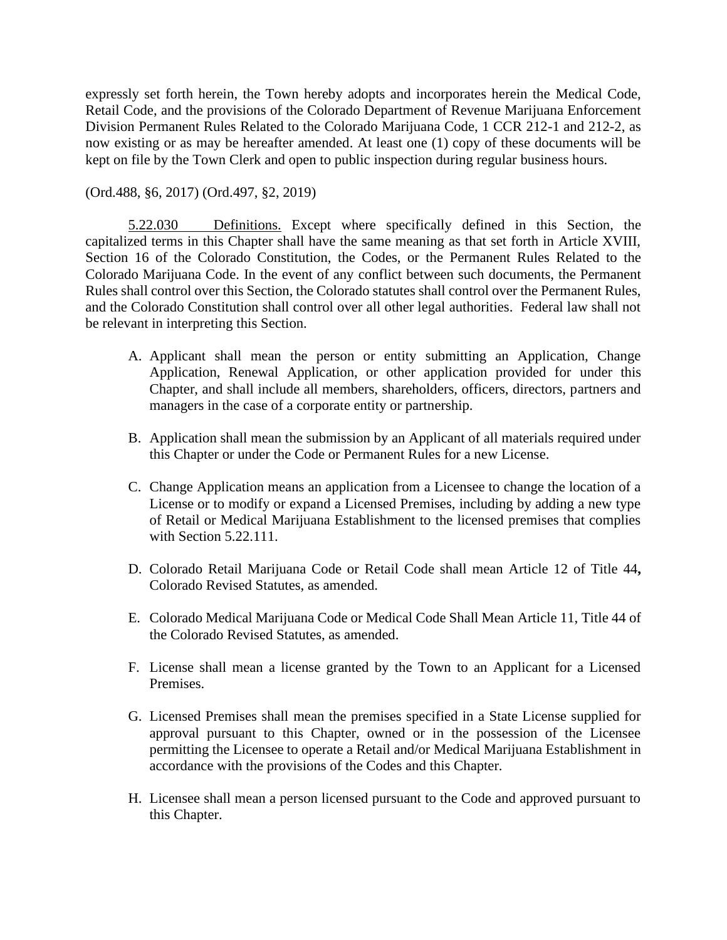expressly set forth herein, the Town hereby adopts and incorporates herein the Medical Code, Retail Code, and the provisions of the Colorado Department of Revenue Marijuana Enforcement Division Permanent Rules Related to the Colorado Marijuana Code, 1 CCR 212-1 and 212-2, as now existing or as may be hereafter amended. At least one (1) copy of these documents will be kept on file by the Town Clerk and open to public inspection during regular business hours.

(Ord.488, §6, 2017) (Ord.497, §2, 2019)

5.22.030 Definitions. Except where specifically defined in this Section, the capitalized terms in this Chapter shall have the same meaning as that set forth in Article XVIII, Section 16 of the Colorado Constitution, the Codes, or the Permanent Rules Related to the Colorado Marijuana Code. In the event of any conflict between such documents, the Permanent Rules shall control over this Section, the Colorado statutes shall control over the Permanent Rules, and the Colorado Constitution shall control over all other legal authorities. Federal law shall not be relevant in interpreting this Section.

- A. Applicant shall mean the person or entity submitting an Application, Change Application, Renewal Application, or other application provided for under this Chapter, and shall include all members, shareholders, officers, directors, partners and managers in the case of a corporate entity or partnership.
- B. Application shall mean the submission by an Applicant of all materials required under this Chapter or under the Code or Permanent Rules for a new License.
- C. Change Application means an application from a Licensee to change the location of a License or to modify or expand a Licensed Premises, including by adding a new type of Retail or Medical Marijuana Establishment to the licensed premises that complies with Section 5.22.111.
- D. Colorado Retail Marijuana Code or Retail Code shall mean Article 12 of Title 44**,**  Colorado Revised Statutes, as amended.
- E. Colorado Medical Marijuana Code or Medical Code Shall Mean Article 11, Title 44 of the Colorado Revised Statutes, as amended.
- F. License shall mean a license granted by the Town to an Applicant for a Licensed Premises.
- G. Licensed Premises shall mean the premises specified in a State License supplied for approval pursuant to this Chapter, owned or in the possession of the Licensee permitting the Licensee to operate a Retail and/or Medical Marijuana Establishment in accordance with the provisions of the Codes and this Chapter.
- H. Licensee shall mean a person licensed pursuant to the Code and approved pursuant to this Chapter.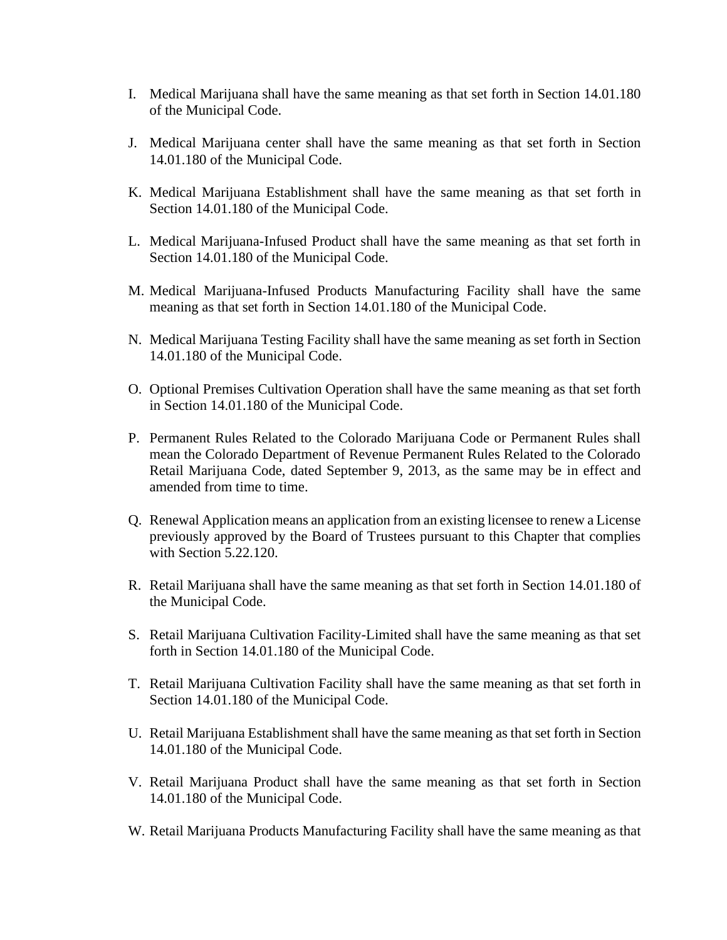- I. Medical Marijuana shall have the same meaning as that set forth in Section 14.01.180 of the Municipal Code.
- J. Medical Marijuana center shall have the same meaning as that set forth in Section 14.01.180 of the Municipal Code.
- K. Medical Marijuana Establishment shall have the same meaning as that set forth in Section 14.01.180 of the Municipal Code.
- L. Medical Marijuana-Infused Product shall have the same meaning as that set forth in Section 14.01.180 of the Municipal Code.
- M. Medical Marijuana-Infused Products Manufacturing Facility shall have the same meaning as that set forth in Section 14.01.180 of the Municipal Code.
- N. Medical Marijuana Testing Facility shall have the same meaning as set forth in Section 14.01.180 of the Municipal Code.
- O. Optional Premises Cultivation Operation shall have the same meaning as that set forth in Section 14.01.180 of the Municipal Code.
- P. Permanent Rules Related to the Colorado Marijuana Code or Permanent Rules shall mean the Colorado Department of Revenue Permanent Rules Related to the Colorado Retail Marijuana Code, dated September 9, 2013, as the same may be in effect and amended from time to time.
- Q. Renewal Application means an application from an existing licensee to renew a License previously approved by the Board of Trustees pursuant to this Chapter that complies with Section 5.22.120.
- R. Retail Marijuana shall have the same meaning as that set forth in Section 14.01.180 of the Municipal Code.
- S. Retail Marijuana Cultivation Facility-Limited shall have the same meaning as that set forth in Section 14.01.180 of the Municipal Code.
- T. Retail Marijuana Cultivation Facility shall have the same meaning as that set forth in Section 14.01.180 of the Municipal Code.
- U. Retail Marijuana Establishment shall have the same meaning as that set forth in Section 14.01.180 of the Municipal Code.
- V. Retail Marijuana Product shall have the same meaning as that set forth in Section 14.01.180 of the Municipal Code.
- W. Retail Marijuana Products Manufacturing Facility shall have the same meaning as that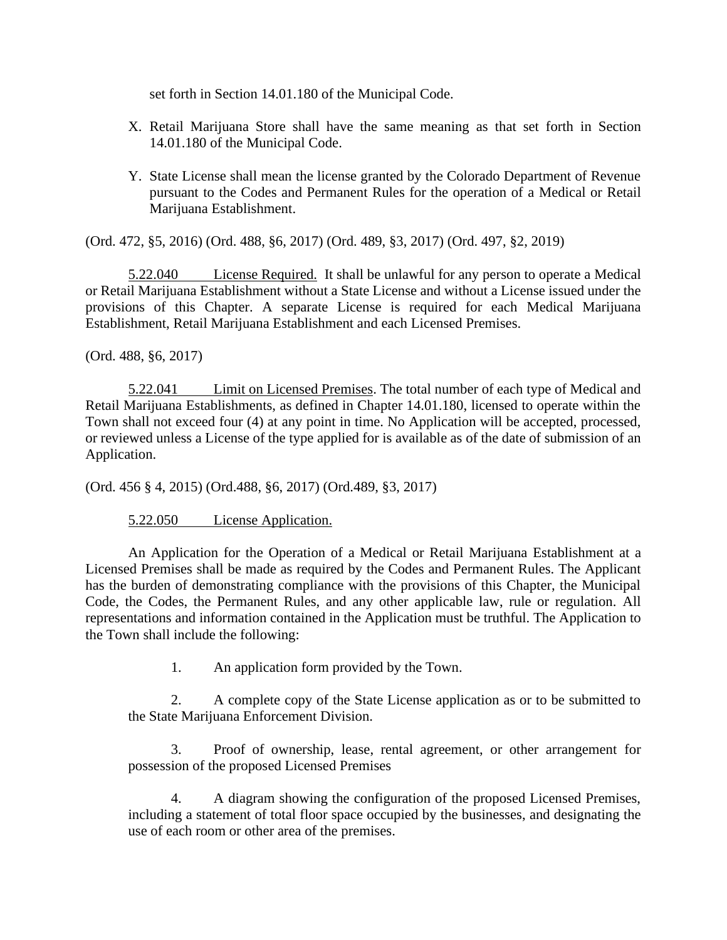set forth in Section 14.01.180 of the Municipal Code.

- X. Retail Marijuana Store shall have the same meaning as that set forth in Section 14.01.180 of the Municipal Code.
- Y. State License shall mean the license granted by the Colorado Department of Revenue pursuant to the Codes and Permanent Rules for the operation of a Medical or Retail Marijuana Establishment.

(Ord. 472, §5, 2016) (Ord. 488, §6, 2017) (Ord. 489, §3, 2017) (Ord. 497, §2, 2019)

5.22.040 License Required. It shall be unlawful for any person to operate a Medical or Retail Marijuana Establishment without a State License and without a License issued under the provisions of this Chapter. A separate License is required for each Medical Marijuana Establishment, Retail Marijuana Establishment and each Licensed Premises.

(Ord. 488, §6, 2017)

5.22.041 Limit on Licensed Premises. The total number of each type of Medical and Retail Marijuana Establishments, as defined in Chapter 14.01.180, licensed to operate within the Town shall not exceed four (4) at any point in time. No Application will be accepted, processed, or reviewed unless a License of the type applied for is available as of the date of submission of an Application.

(Ord. 456 § 4, 2015) (Ord.488, §6, 2017) (Ord.489, §3, 2017)

# 5.22.050 License Application.

An Application for the Operation of a Medical or Retail Marijuana Establishment at a Licensed Premises shall be made as required by the Codes and Permanent Rules. The Applicant has the burden of demonstrating compliance with the provisions of this Chapter, the Municipal Code, the Codes, the Permanent Rules, and any other applicable law, rule or regulation. All representations and information contained in the Application must be truthful. The Application to the Town shall include the following:

1. An application form provided by the Town.

2. A complete copy of the State License application as or to be submitted to the State Marijuana Enforcement Division.

3. Proof of ownership, lease, rental agreement, or other arrangement for possession of the proposed Licensed Premises

4. A diagram showing the configuration of the proposed Licensed Premises, including a statement of total floor space occupied by the businesses, and designating the use of each room or other area of the premises.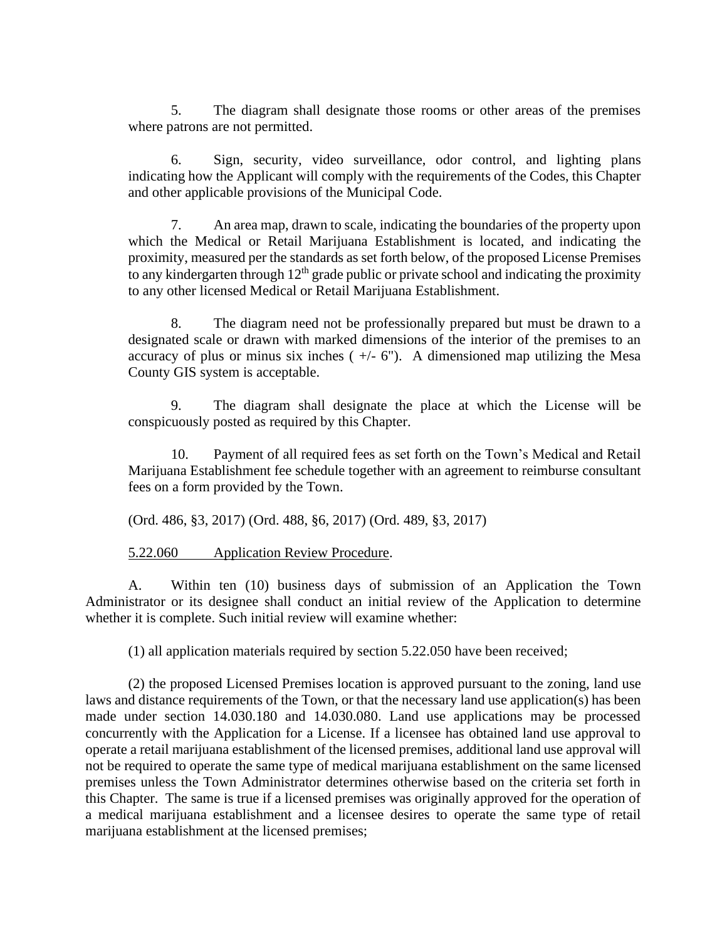5. The diagram shall designate those rooms or other areas of the premises where patrons are not permitted.

6. Sign, security, video surveillance, odor control, and lighting plans indicating how the Applicant will comply with the requirements of the Codes, this Chapter and other applicable provisions of the Municipal Code.

7. An area map, drawn to scale, indicating the boundaries of the property upon which the Medical or Retail Marijuana Establishment is located, and indicating the proximity, measured per the standards as set forth below, of the proposed License Premises to any kindergarten through  $12<sup>th</sup>$  grade public or private school and indicating the proximity to any other licensed Medical or Retail Marijuana Establishment.

8. The diagram need not be professionally prepared but must be drawn to a designated scale or drawn with marked dimensions of the interior of the premises to an accuracy of plus or minus six inches  $(+/- 6")$ . A dimensioned map utilizing the Mesa County GIS system is acceptable.

9. The diagram shall designate the place at which the License will be conspicuously posted as required by this Chapter.

10. Payment of all required fees as set forth on the Town's Medical and Retail Marijuana Establishment fee schedule together with an agreement to reimburse consultant fees on a form provided by the Town.

(Ord. 486, §3, 2017) (Ord. 488, §6, 2017) (Ord. 489, §3, 2017)

5.22.060 Application Review Procedure.

A. Within ten (10) business days of submission of an Application the Town Administrator or its designee shall conduct an initial review of the Application to determine whether it is complete. Such initial review will examine whether:

(1) all application materials required by section 5.22.050 have been received;

(2) the proposed Licensed Premises location is approved pursuant to the zoning, land use laws and distance requirements of the Town, or that the necessary land use application(s) has been made under section 14.030.180 and 14.030.080. Land use applications may be processed concurrently with the Application for a License. If a licensee has obtained land use approval to operate a retail marijuana establishment of the licensed premises, additional land use approval will not be required to operate the same type of medical marijuana establishment on the same licensed premises unless the Town Administrator determines otherwise based on the criteria set forth in this Chapter. The same is true if a licensed premises was originally approved for the operation of a medical marijuana establishment and a licensee desires to operate the same type of retail marijuana establishment at the licensed premises;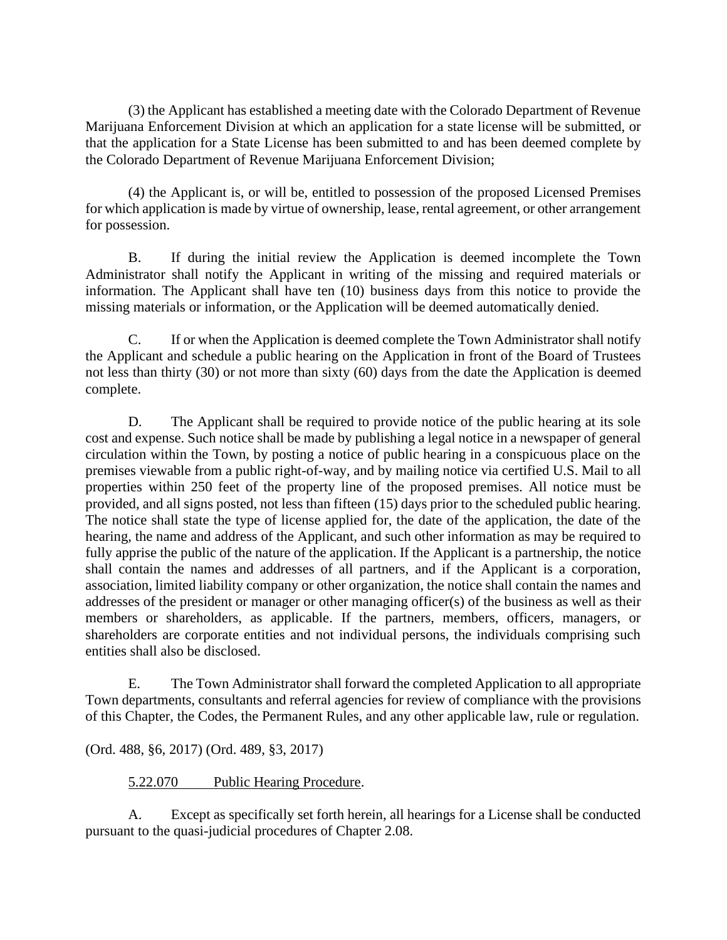(3) the Applicant has established a meeting date with the Colorado Department of Revenue Marijuana Enforcement Division at which an application for a state license will be submitted, or that the application for a State License has been submitted to and has been deemed complete by the Colorado Department of Revenue Marijuana Enforcement Division;

(4) the Applicant is, or will be, entitled to possession of the proposed Licensed Premises for which application is made by virtue of ownership, lease, rental agreement, or other arrangement for possession.

B. If during the initial review the Application is deemed incomplete the Town Administrator shall notify the Applicant in writing of the missing and required materials or information. The Applicant shall have ten (10) business days from this notice to provide the missing materials or information, or the Application will be deemed automatically denied.

C. If or when the Application is deemed complete the Town Administrator shall notify the Applicant and schedule a public hearing on the Application in front of the Board of Trustees not less than thirty (30) or not more than sixty (60) days from the date the Application is deemed complete.

D. The Applicant shall be required to provide notice of the public hearing at its sole cost and expense. Such notice shall be made by publishing a legal notice in a newspaper of general circulation within the Town, by posting a notice of public hearing in a conspicuous place on the premises viewable from a public right-of-way, and by mailing notice via certified U.S. Mail to all properties within 250 feet of the property line of the proposed premises. All notice must be provided, and all signs posted, not less than fifteen (15) days prior to the scheduled public hearing. The notice shall state the type of license applied for, the date of the application, the date of the hearing, the name and address of the Applicant, and such other information as may be required to fully apprise the public of the nature of the application. If the Applicant is a partnership, the notice shall contain the names and addresses of all partners, and if the Applicant is a corporation, association, limited liability company or other organization, the notice shall contain the names and addresses of the president or manager or other managing officer(s) of the business as well as their members or shareholders, as applicable. If the partners, members, officers, managers, or shareholders are corporate entities and not individual persons, the individuals comprising such entities shall also be disclosed.

E. The Town Administrator shall forward the completed Application to all appropriate Town departments, consultants and referral agencies for review of compliance with the provisions of this Chapter, the Codes, the Permanent Rules, and any other applicable law, rule or regulation.

(Ord. 488, §6, 2017) (Ord. 489, §3, 2017)

# 5.22.070 Public Hearing Procedure.

A. Except as specifically set forth herein, all hearings for a License shall be conducted pursuant to the quasi-judicial procedures of Chapter 2.08.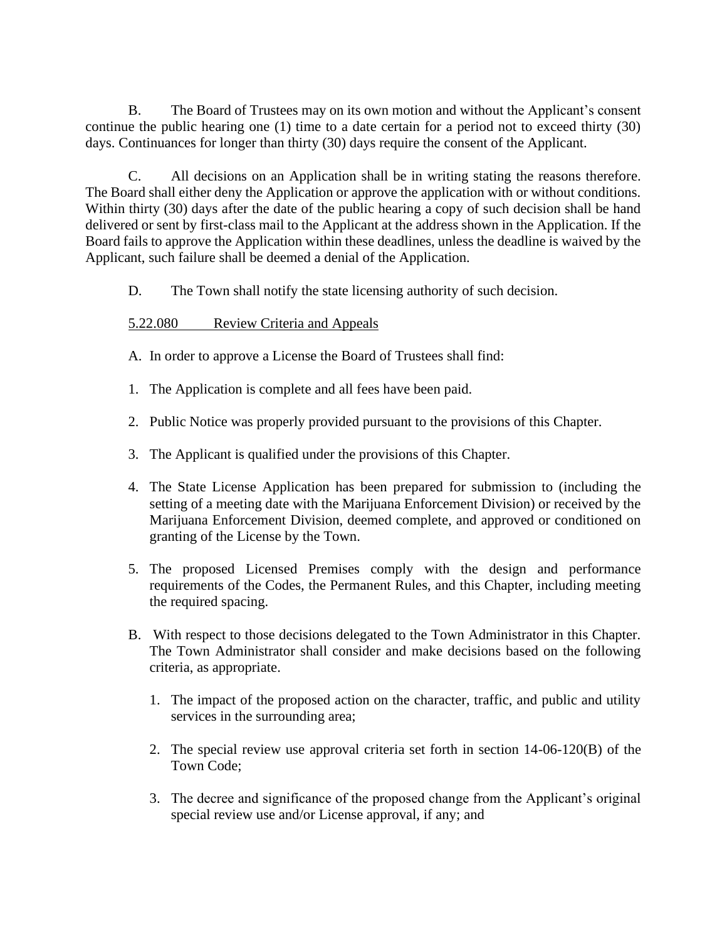B. The Board of Trustees may on its own motion and without the Applicant's consent continue the public hearing one (1) time to a date certain for a period not to exceed thirty (30) days. Continuances for longer than thirty (30) days require the consent of the Applicant.

C. All decisions on an Application shall be in writing stating the reasons therefore. The Board shall either deny the Application or approve the application with or without conditions. Within thirty (30) days after the date of the public hearing a copy of such decision shall be hand delivered or sent by first-class mail to the Applicant at the address shown in the Application. If the Board fails to approve the Application within these deadlines, unless the deadline is waived by the Applicant, such failure shall be deemed a denial of the Application.

D. The Town shall notify the state licensing authority of such decision.

# 5.22.080 Review Criteria and Appeals

- A. In order to approve a License the Board of Trustees shall find:
- 1. The Application is complete and all fees have been paid.
- 2. Public Notice was properly provided pursuant to the provisions of this Chapter.
- 3. The Applicant is qualified under the provisions of this Chapter.
- 4. The State License Application has been prepared for submission to (including the setting of a meeting date with the Marijuana Enforcement Division) or received by the Marijuana Enforcement Division, deemed complete, and approved or conditioned on granting of the License by the Town.
- 5. The proposed Licensed Premises comply with the design and performance requirements of the Codes, the Permanent Rules, and this Chapter, including meeting the required spacing.
- B. With respect to those decisions delegated to the Town Administrator in this Chapter. The Town Administrator shall consider and make decisions based on the following criteria, as appropriate.
	- 1. The impact of the proposed action on the character, traffic, and public and utility services in the surrounding area;
	- 2. The special review use approval criteria set forth in section 14-06-120(B) of the Town Code;
	- 3. The decree and significance of the proposed change from the Applicant's original special review use and/or License approval, if any; and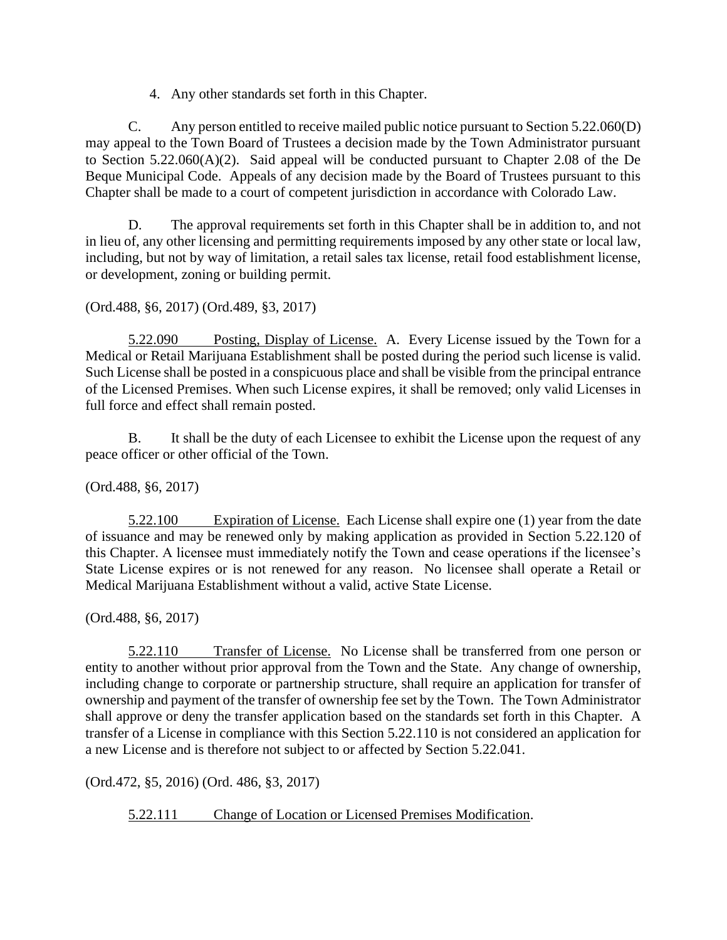4. Any other standards set forth in this Chapter.

C. Any person entitled to receive mailed public notice pursuant to Section 5.22.060(D) may appeal to the Town Board of Trustees a decision made by the Town Administrator pursuant to Section 5.22.060(A)(2). Said appeal will be conducted pursuant to Chapter 2.08 of the De Beque Municipal Code. Appeals of any decision made by the Board of Trustees pursuant to this Chapter shall be made to a court of competent jurisdiction in accordance with Colorado Law.

D. The approval requirements set forth in this Chapter shall be in addition to, and not in lieu of, any other licensing and permitting requirements imposed by any other state or local law, including, but not by way of limitation, a retail sales tax license, retail food establishment license, or development, zoning or building permit.

(Ord.488, §6, 2017) (Ord.489, §3, 2017)

5.22.090 Posting, Display of License. A. Every License issued by the Town for a Medical or Retail Marijuana Establishment shall be posted during the period such license is valid. Such License shall be posted in a conspicuous place and shall be visible from the principal entrance of the Licensed Premises. When such License expires, it shall be removed; only valid Licenses in full force and effect shall remain posted.

B. It shall be the duty of each Licensee to exhibit the License upon the request of any peace officer or other official of the Town.

(Ord.488, §6, 2017)

5.22.100 Expiration of License. Each License shall expire one (1) year from the date of issuance and may be renewed only by making application as provided in Section 5.22.120 of this Chapter. A licensee must immediately notify the Town and cease operations if the licensee's State License expires or is not renewed for any reason. No licensee shall operate a Retail or Medical Marijuana Establishment without a valid, active State License.

(Ord.488, §6, 2017)

5.22.110 Transfer of License. No License shall be transferred from one person or entity to another without prior approval from the Town and the State. Any change of ownership, including change to corporate or partnership structure, shall require an application for transfer of ownership and payment of the transfer of ownership fee set by the Town. The Town Administrator shall approve or deny the transfer application based on the standards set forth in this Chapter. A transfer of a License in compliance with this Section 5.22.110 is not considered an application for a new License and is therefore not subject to or affected by Section 5.22.041.

(Ord.472, §5, 2016) (Ord. 486, §3, 2017)

5.22.111 Change of Location or Licensed Premises Modification.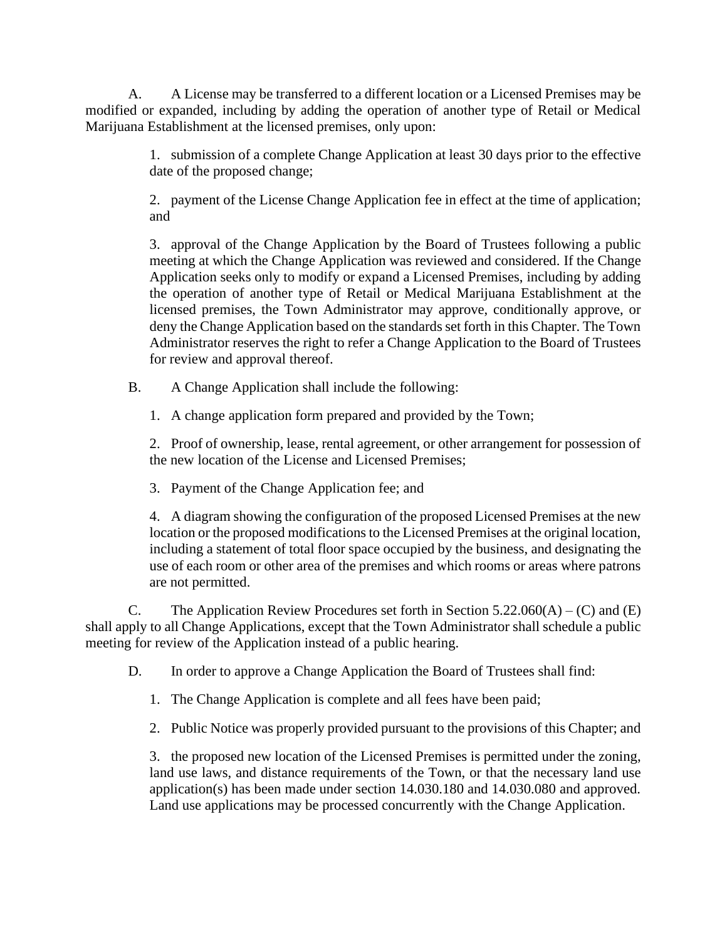A. A License may be transferred to a different location or a Licensed Premises may be modified or expanded, including by adding the operation of another type of Retail or Medical Marijuana Establishment at the licensed premises, only upon:

> 1. submission of a complete Change Application at least 30 days prior to the effective date of the proposed change;

> 2. payment of the License Change Application fee in effect at the time of application; and

> 3. approval of the Change Application by the Board of Trustees following a public meeting at which the Change Application was reviewed and considered. If the Change Application seeks only to modify or expand a Licensed Premises, including by adding the operation of another type of Retail or Medical Marijuana Establishment at the licensed premises, the Town Administrator may approve, conditionally approve, or deny the Change Application based on the standards set forth in this Chapter. The Town Administrator reserves the right to refer a Change Application to the Board of Trustees for review and approval thereof.

B. A Change Application shall include the following:

1. A change application form prepared and provided by the Town;

2. Proof of ownership, lease, rental agreement, or other arrangement for possession of the new location of the License and Licensed Premises;

3. Payment of the Change Application fee; and

4. A diagram showing the configuration of the proposed Licensed Premises at the new location or the proposed modifications to the Licensed Premises at the original location, including a statement of total floor space occupied by the business, and designating the use of each room or other area of the premises and which rooms or areas where patrons are not permitted.

C. The Application Review Procedures set forth in Section  $5.22.060(A) - (C)$  and (E) shall apply to all Change Applications, except that the Town Administrator shall schedule a public meeting for review of the Application instead of a public hearing.

D. In order to approve a Change Application the Board of Trustees shall find:

- 1. The Change Application is complete and all fees have been paid;
- 2. Public Notice was properly provided pursuant to the provisions of this Chapter; and

3. the proposed new location of the Licensed Premises is permitted under the zoning, land use laws, and distance requirements of the Town, or that the necessary land use application(s) has been made under section 14.030.180 and 14.030.080 and approved. Land use applications may be processed concurrently with the Change Application.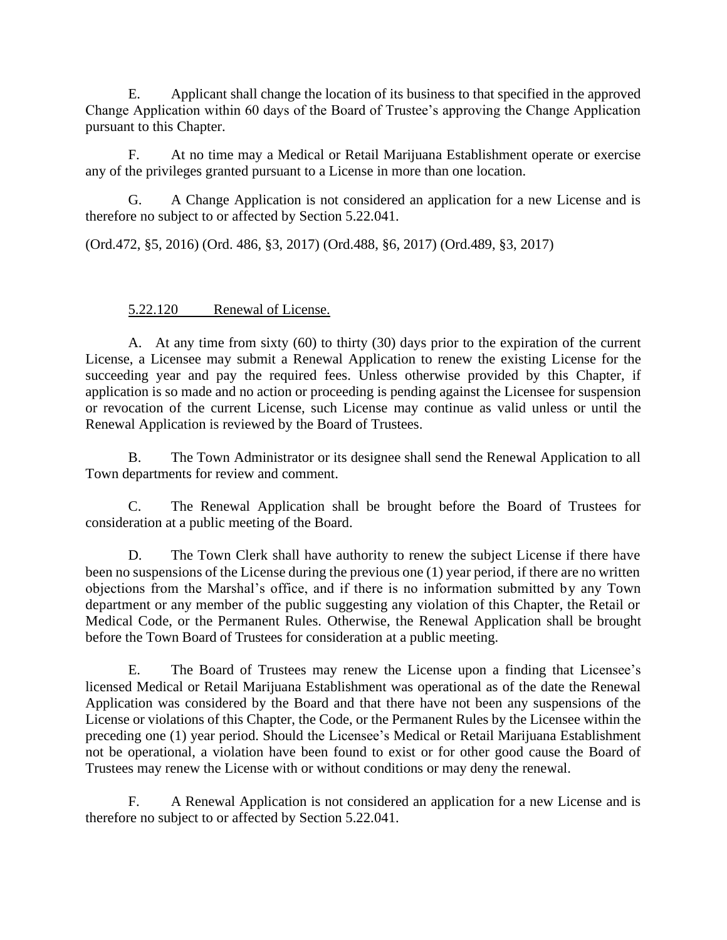E. Applicant shall change the location of its business to that specified in the approved Change Application within 60 days of the Board of Trustee's approving the Change Application pursuant to this Chapter.

F. At no time may a Medical or Retail Marijuana Establishment operate or exercise any of the privileges granted pursuant to a License in more than one location.

G. A Change Application is not considered an application for a new License and is therefore no subject to or affected by Section 5.22.041.

(Ord.472, §5, 2016) (Ord. 486, §3, 2017) (Ord.488, §6, 2017) (Ord.489, §3, 2017)

#### 5.22.120 Renewal of License.

A. At any time from sixty (60) to thirty (30) days prior to the expiration of the current License, a Licensee may submit a Renewal Application to renew the existing License for the succeeding year and pay the required fees. Unless otherwise provided by this Chapter, if application is so made and no action or proceeding is pending against the Licensee for suspension or revocation of the current License, such License may continue as valid unless or until the Renewal Application is reviewed by the Board of Trustees.

B. The Town Administrator or its designee shall send the Renewal Application to all Town departments for review and comment.

C. The Renewal Application shall be brought before the Board of Trustees for consideration at a public meeting of the Board.

D. The Town Clerk shall have authority to renew the subject License if there have been no suspensions of the License during the previous one (1) year period, if there are no written objections from the Marshal's office, and if there is no information submitted by any Town department or any member of the public suggesting any violation of this Chapter, the Retail or Medical Code, or the Permanent Rules. Otherwise, the Renewal Application shall be brought before the Town Board of Trustees for consideration at a public meeting.

E. The Board of Trustees may renew the License upon a finding that Licensee's licensed Medical or Retail Marijuana Establishment was operational as of the date the Renewal Application was considered by the Board and that there have not been any suspensions of the License or violations of this Chapter, the Code, or the Permanent Rules by the Licensee within the preceding one (1) year period. Should the Licensee's Medical or Retail Marijuana Establishment not be operational, a violation have been found to exist or for other good cause the Board of Trustees may renew the License with or without conditions or may deny the renewal.

F. A Renewal Application is not considered an application for a new License and is therefore no subject to or affected by Section 5.22.041.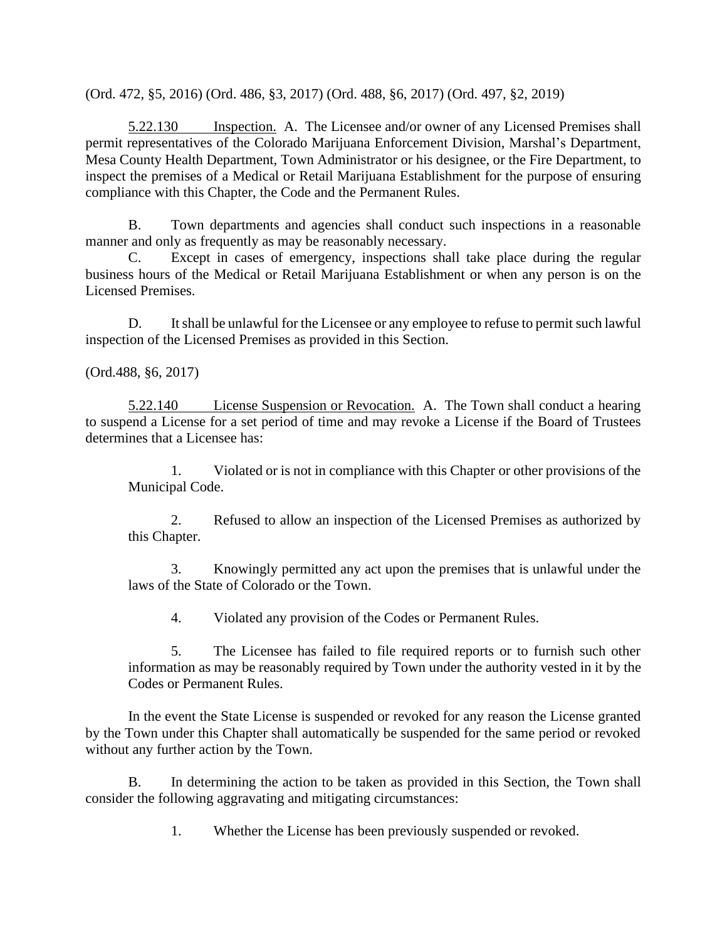(Ord. 472, §5, 2016) (Ord. 486, §3, 2017) (Ord. 488, §6, 2017) (Ord. 497, §2, 2019)

5.22.130 Inspection. A. The Licensee and/or owner of any Licensed Premises shall permit representatives of the Colorado Marijuana Enforcement Division, Marshal's Department, Mesa County Health Department, Town Administrator or his designee, or the Fire Department, to inspect the premises of a Medical or Retail Marijuana Establishment for the purpose of ensuring compliance with this Chapter, the Code and the Permanent Rules.

B. Town departments and agencies shall conduct such inspections in a reasonable manner and only as frequently as may be reasonably necessary.

C. Except in cases of emergency, inspections shall take place during the regular business hours of the Medical or Retail Marijuana Establishment or when any person is on the Licensed Premises.

D. It shall be unlawful for the Licensee or any employee to refuse to permit such lawful inspection of the Licensed Premises as provided in this Section.

(Ord.488, §6, 2017)

5.22.140 License Suspension or Revocation. A. The Town shall conduct a hearing to suspend a License for a set period of time and may revoke a License if the Board of Trustees determines that a Licensee has:

1. Violated or is not in compliance with this Chapter or other provisions of the Municipal Code.

2. Refused to allow an inspection of the Licensed Premises as authorized by this Chapter.

3. Knowingly permitted any act upon the premises that is unlawful under the laws of the State of Colorado or the Town.

4. Violated any provision of the Codes or Permanent Rules.

5. The Licensee has failed to file required reports or to furnish such other information as may be reasonably required by Town under the authority vested in it by the Codes or Permanent Rules.

In the event the State License is suspended or revoked for any reason the License granted by the Town under this Chapter shall automatically be suspended for the same period or revoked without any further action by the Town.

B. In determining the action to be taken as provided in this Section, the Town shall consider the following aggravating and mitigating circumstances:

1. Whether the License has been previously suspended or revoked.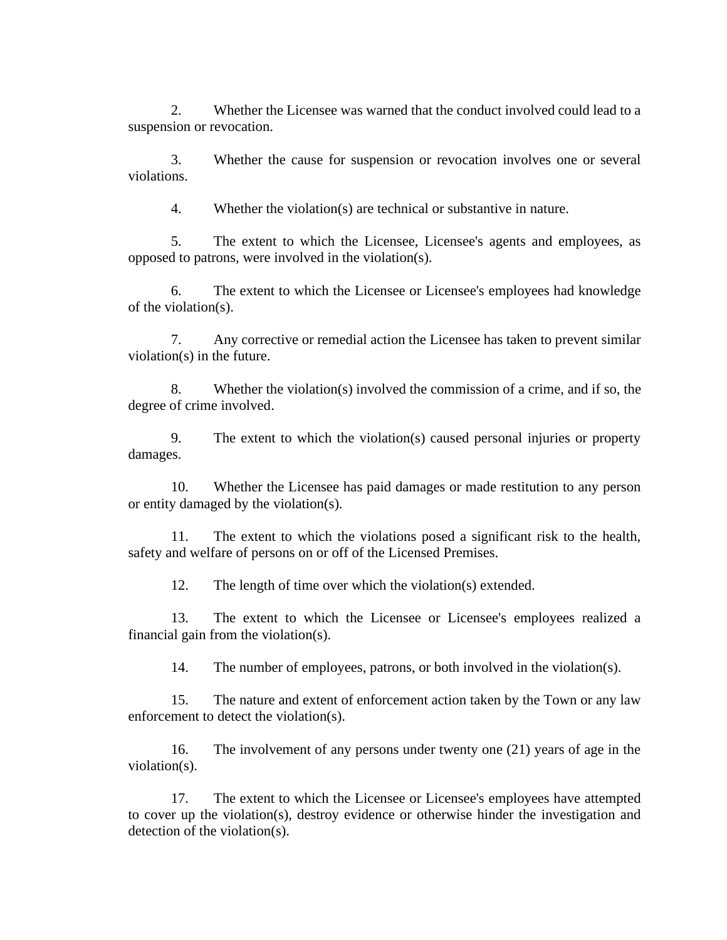2. Whether the Licensee was warned that the conduct involved could lead to a suspension or revocation.

3. Whether the cause for suspension or revocation involves one or several violations.

4. Whether the violation(s) are technical or substantive in nature.

5. The extent to which the Licensee, Licensee's agents and employees, as opposed to patrons, were involved in the violation(s).

6. The extent to which the Licensee or Licensee's employees had knowledge of the violation(s).

7. Any corrective or remedial action the Licensee has taken to prevent similar violation(s) in the future.

8. Whether the violation(s) involved the commission of a crime, and if so, the degree of crime involved.

9. The extent to which the violation(s) caused personal injuries or property damages.

10. Whether the Licensee has paid damages or made restitution to any person or entity damaged by the violation(s).

11. The extent to which the violations posed a significant risk to the health, safety and welfare of persons on or off of the Licensed Premises.

12. The length of time over which the violation(s) extended.

13. The extent to which the Licensee or Licensee's employees realized a financial gain from the violation(s).

14. The number of employees, patrons, or both involved in the violation(s).

15. The nature and extent of enforcement action taken by the Town or any law enforcement to detect the violation(s).

16. The involvement of any persons under twenty one (21) years of age in the violation(s).

17. The extent to which the Licensee or Licensee's employees have attempted to cover up the violation(s), destroy evidence or otherwise hinder the investigation and detection of the violation(s).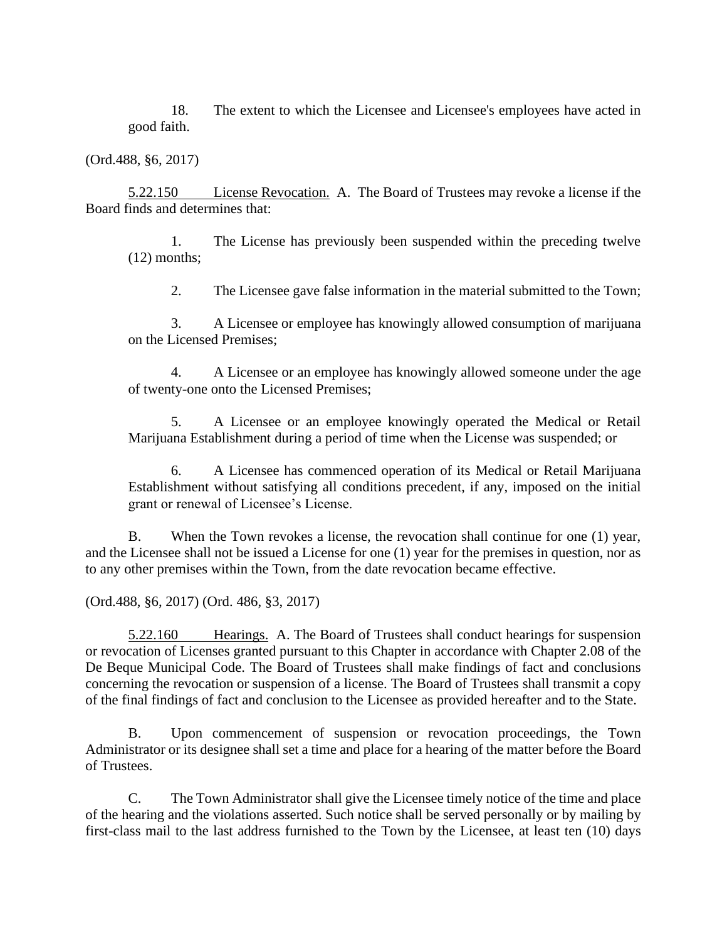18. The extent to which the Licensee and Licensee's employees have acted in good faith.

(Ord.488, §6, 2017)

5.22.150 License Revocation. A. The Board of Trustees may revoke a license if the Board finds and determines that:

1. The License has previously been suspended within the preceding twelve (12) months;

2. The Licensee gave false information in the material submitted to the Town;

3. A Licensee or employee has knowingly allowed consumption of marijuana on the Licensed Premises;

4. A Licensee or an employee has knowingly allowed someone under the age of twenty-one onto the Licensed Premises;

5. A Licensee or an employee knowingly operated the Medical or Retail Marijuana Establishment during a period of time when the License was suspended; or

6. A Licensee has commenced operation of its Medical or Retail Marijuana Establishment without satisfying all conditions precedent, if any, imposed on the initial grant or renewal of Licensee's License.

B. When the Town revokes a license, the revocation shall continue for one (1) year, and the Licensee shall not be issued a License for one (1) year for the premises in question, nor as to any other premises within the Town, from the date revocation became effective.

(Ord.488, §6, 2017) (Ord. 486, §3, 2017)

5.22.160 Hearings. A. The Board of Trustees shall conduct hearings for suspension or revocation of Licenses granted pursuant to this Chapter in accordance with Chapter 2.08 of the De Beque Municipal Code. The Board of Trustees shall make findings of fact and conclusions concerning the revocation or suspension of a license. The Board of Trustees shall transmit a copy of the final findings of fact and conclusion to the Licensee as provided hereafter and to the State.

B. Upon commencement of suspension or revocation proceedings, the Town Administrator or its designee shall set a time and place for a hearing of the matter before the Board of Trustees.

C. The Town Administrator shall give the Licensee timely notice of the time and place of the hearing and the violations asserted. Such notice shall be served personally or by mailing by first-class mail to the last address furnished to the Town by the Licensee, at least ten (10) days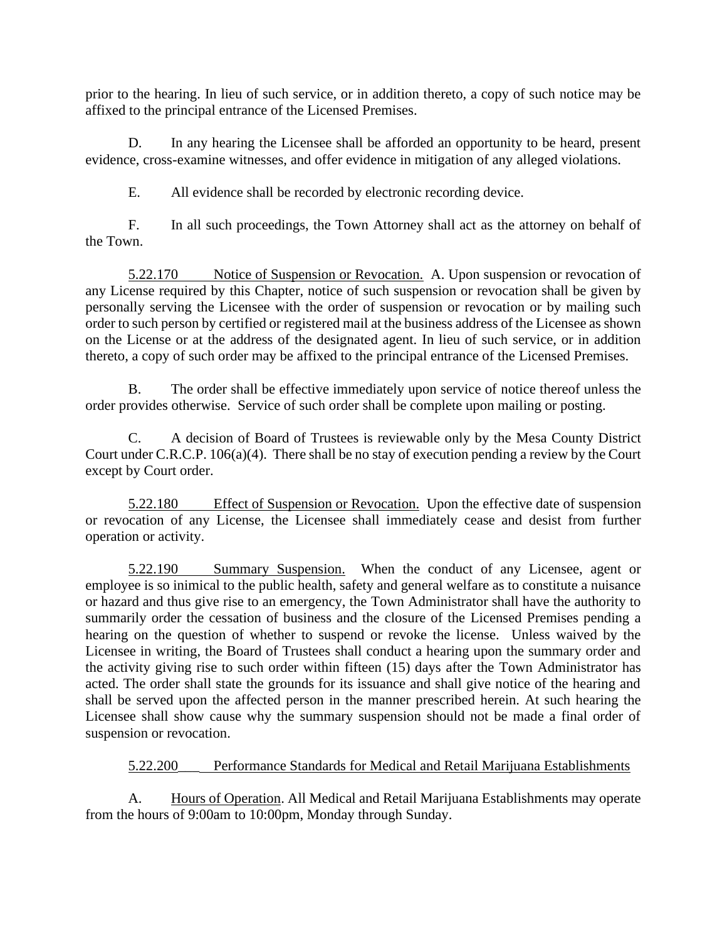prior to the hearing. In lieu of such service, or in addition thereto, a copy of such notice may be affixed to the principal entrance of the Licensed Premises.

D. In any hearing the Licensee shall be afforded an opportunity to be heard, present evidence, cross-examine witnesses, and offer evidence in mitigation of any alleged violations.

E. All evidence shall be recorded by electronic recording device.

F. In all such proceedings, the Town Attorney shall act as the attorney on behalf of the Town.

5.22.170 Notice of Suspension or Revocation. A. Upon suspension or revocation of any License required by this Chapter, notice of such suspension or revocation shall be given by personally serving the Licensee with the order of suspension or revocation or by mailing such order to such person by certified or registered mail at the business address of the Licensee as shown on the License or at the address of the designated agent. In lieu of such service, or in addition thereto, a copy of such order may be affixed to the principal entrance of the Licensed Premises.

B. The order shall be effective immediately upon service of notice thereof unless the order provides otherwise. Service of such order shall be complete upon mailing or posting.

C. A decision of Board of Trustees is reviewable only by the Mesa County District Court under C.R.C.P. 106(a)(4). There shall be no stay of execution pending a review by the Court except by Court order.

5.22.180 Effect of Suspension or Revocation. Upon the effective date of suspension or revocation of any License, the Licensee shall immediately cease and desist from further operation or activity.

5.22.190 Summary Suspension. When the conduct of any Licensee, agent or employee is so inimical to the public health, safety and general welfare as to constitute a nuisance or hazard and thus give rise to an emergency, the Town Administrator shall have the authority to summarily order the cessation of business and the closure of the Licensed Premises pending a hearing on the question of whether to suspend or revoke the license. Unless waived by the Licensee in writing, the Board of Trustees shall conduct a hearing upon the summary order and the activity giving rise to such order within fifteen (15) days after the Town Administrator has acted. The order shall state the grounds for its issuance and shall give notice of the hearing and shall be served upon the affected person in the manner prescribed herein. At such hearing the Licensee shall show cause why the summary suspension should not be made a final order of suspension or revocation.

# 5.22.200\_\_\_ Performance Standards for Medical and Retail Marijuana Establishments

A. Hours of Operation. All Medical and Retail Marijuana Establishments may operate from the hours of 9:00am to 10:00pm, Monday through Sunday.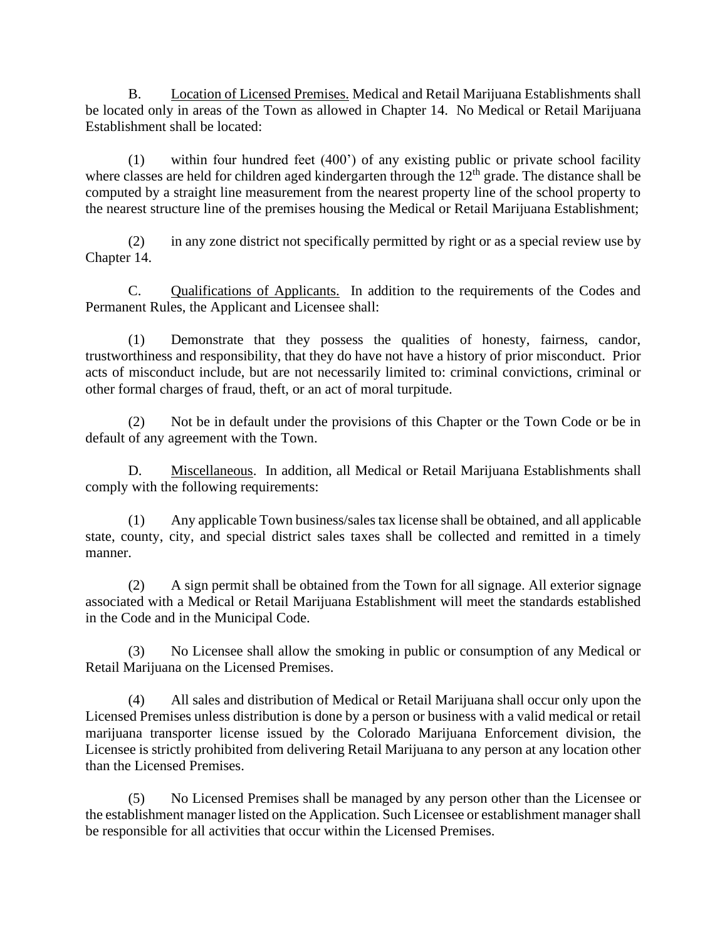B. Location of Licensed Premises. Medical and Retail Marijuana Establishments shall be located only in areas of the Town as allowed in Chapter 14. No Medical or Retail Marijuana Establishment shall be located:

(1) within four hundred feet (400') of any existing public or private school facility where classes are held for children aged kindergarten through the 12<sup>th</sup> grade. The distance shall be computed by a straight line measurement from the nearest property line of the school property to the nearest structure line of the premises housing the Medical or Retail Marijuana Establishment;

(2) in any zone district not specifically permitted by right or as a special review use by Chapter 14.

C. Qualifications of Applicants. In addition to the requirements of the Codes and Permanent Rules, the Applicant and Licensee shall:

(1) Demonstrate that they possess the qualities of honesty, fairness, candor, trustworthiness and responsibility, that they do have not have a history of prior misconduct. Prior acts of misconduct include, but are not necessarily limited to: criminal convictions, criminal or other formal charges of fraud, theft, or an act of moral turpitude.

(2) Not be in default under the provisions of this Chapter or the Town Code or be in default of any agreement with the Town.

D. Miscellaneous. In addition, all Medical or Retail Marijuana Establishments shall comply with the following requirements:

(1) Any applicable Town business/sales tax license shall be obtained, and all applicable state, county, city, and special district sales taxes shall be collected and remitted in a timely manner.

(2) A sign permit shall be obtained from the Town for all signage. All exterior signage associated with a Medical or Retail Marijuana Establishment will meet the standards established in the Code and in the Municipal Code.

(3) No Licensee shall allow the smoking in public or consumption of any Medical or Retail Marijuana on the Licensed Premises.

(4) All sales and distribution of Medical or Retail Marijuana shall occur only upon the Licensed Premises unless distribution is done by a person or business with a valid medical or retail marijuana transporter license issued by the Colorado Marijuana Enforcement division, the Licensee is strictly prohibited from delivering Retail Marijuana to any person at any location other than the Licensed Premises.

(5) No Licensed Premises shall be managed by any person other than the Licensee or the establishment manager listed on the Application. Such Licensee or establishment manager shall be responsible for all activities that occur within the Licensed Premises.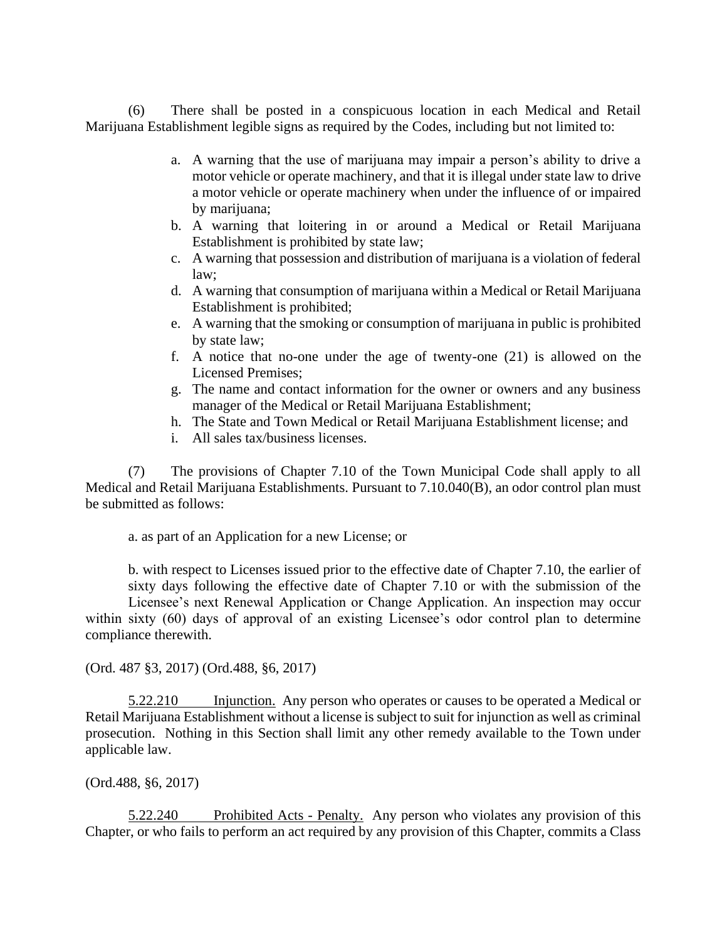(6) There shall be posted in a conspicuous location in each Medical and Retail Marijuana Establishment legible signs as required by the Codes, including but not limited to:

- a. A warning that the use of marijuana may impair a person's ability to drive a motor vehicle or operate machinery, and that it is illegal under state law to drive a motor vehicle or operate machinery when under the influence of or impaired by marijuana;
- b. A warning that loitering in or around a Medical or Retail Marijuana Establishment is prohibited by state law;
- c. A warning that possession and distribution of marijuana is a violation of federal law;
- d. A warning that consumption of marijuana within a Medical or Retail Marijuana Establishment is prohibited;
- e. A warning that the smoking or consumption of marijuana in public is prohibited by state law;
- f. A notice that no-one under the age of twenty-one (21) is allowed on the Licensed Premises;
- g. The name and contact information for the owner or owners and any business manager of the Medical or Retail Marijuana Establishment;
- h. The State and Town Medical or Retail Marijuana Establishment license; and
- i. All sales tax/business licenses.

(7) The provisions of Chapter 7.10 of the Town Municipal Code shall apply to all Medical and Retail Marijuana Establishments. Pursuant to 7.10.040(B), an odor control plan must be submitted as follows:

a. as part of an Application for a new License; or

b. with respect to Licenses issued prior to the effective date of Chapter 7.10, the earlier of sixty days following the effective date of Chapter 7.10 or with the submission of the Licensee's next Renewal Application or Change Application. An inspection may occur within sixty (60) days of approval of an existing Licensee's odor control plan to determine compliance therewith.

(Ord. 487 §3, 2017) (Ord.488, §6, 2017)

5.22.210 Injunction. Any person who operates or causes to be operated a Medical or Retail Marijuana Establishment without a license is subject to suit for injunction as well as criminal prosecution. Nothing in this Section shall limit any other remedy available to the Town under applicable law.

(Ord.488, §6, 2017)

5.22.240 Prohibited Acts - Penalty. Any person who violates any provision of this Chapter, or who fails to perform an act required by any provision of this Chapter, commits a Class